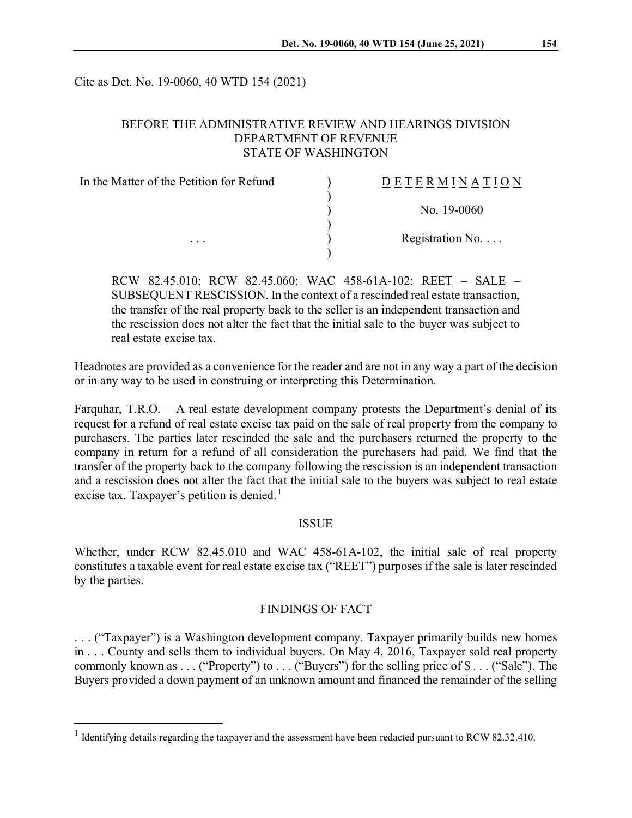Cite as Det. No. 19-0060, 40 WTD 154 (2021)

# BEFORE THE ADMINISTRATIVE REVIEW AND HEARINGS DIVISION DEPARTMENT OF REVENUE STATE OF WASHINGTON

| In the Matter of the Petition for Refund<br>$\cdots$ | DETERMINATION            |
|------------------------------------------------------|--------------------------|
|                                                      | No. $19-0060$            |
|                                                      | Registration No. $\dots$ |
|                                                      |                          |

RCW 82.45.010; RCW 82.45.060; WAC 458-61A-102: REET – SALE – SUBSEQUENT RESCISSION. In the context of a rescinded real estate transaction, the transfer of the real property back to the seller is an independent transaction and the rescission does not alter the fact that the initial sale to the buyer was subject to real estate excise tax.

Headnotes are provided as a convenience for the reader and are not in any way a part of the decision or in any way to be used in construing or interpreting this Determination.

Farquhar, T.R.O. – A real estate development company protests the Department's denial of its request for a refund of real estate excise tax paid on the sale of real property from the company to purchasers. The parties later rescinded the sale and the purchasers returned the property to the company in return for a refund of all consideration the purchasers had paid. We find that the transfer of the property back to the company following the rescission is an independent transaction and a rescission does not alter the fact that the initial sale to the buyers was subject to real estate excise tax. Taxpayer's petition is denied.<sup>[1](#page-0-0)</sup>

# ISSUE

Whether, under RCW 82.45.010 and WAC 458-61A-102, the initial sale of real property constitutes a taxable event for real estate excise tax ("REET") purposes if the sale is later rescinded by the parties.

### FINDINGS OF FACT

. . . ("Taxpayer") is a Washington development company. Taxpayer primarily builds new homes in . . . County and sells them to individual buyers. On May 4, 2016, Taxpayer sold real property commonly known as . . . ("Property") to . . . ("Buyers") for the selling price of \$ . . . ("Sale"). The Buyers provided a down payment of an unknown amount and financed the remainder of the selling

<span id="page-0-0"></span><sup>&</sup>lt;sup>1</sup> Identifying details regarding the taxpayer and the assessment have been redacted pursuant to RCW 82.32.410.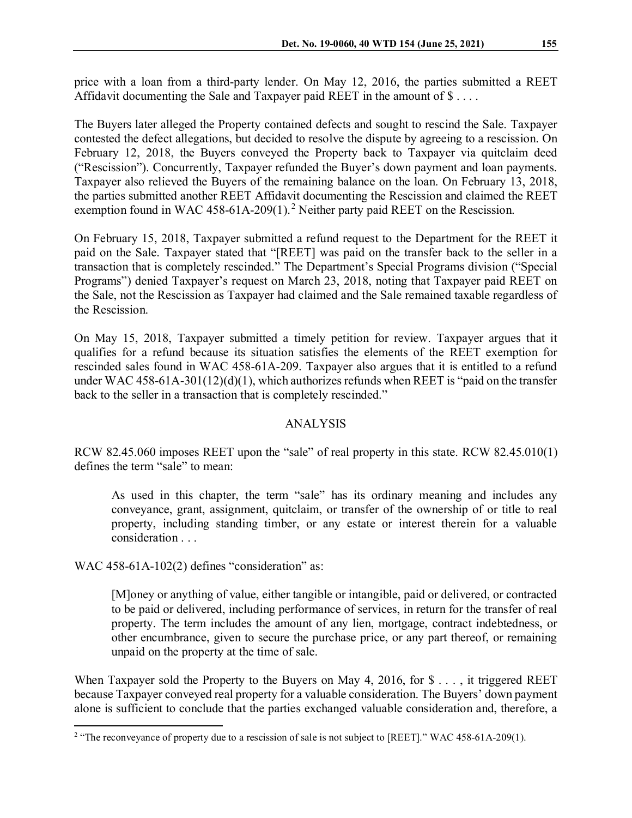price with a loan from a third-party lender. On May 12, 2016, the parties submitted a REET Affidavit documenting the Sale and Taxpayer paid REET in the amount of \$....

The Buyers later alleged the Property contained defects and sought to rescind the Sale. Taxpayer contested the defect allegations, but decided to resolve the dispute by agreeing to a rescission. On February 12, 2018, the Buyers conveyed the Property back to Taxpayer via quitclaim deed ("Rescission"). Concurrently, Taxpayer refunded the Buyer's down payment and loan payments. Taxpayer also relieved the Buyers of the remaining balance on the loan. On February 13, 2018, the parties submitted another REET Affidavit documenting the Rescission and claimed the REET exemption found in WAC 458-61A-[2](#page-1-0)09(1).<sup>2</sup> Neither party paid REET on the Rescission.

On February 15, 2018, Taxpayer submitted a refund request to the Department for the REET it paid on the Sale. Taxpayer stated that "[REET] was paid on the transfer back to the seller in a transaction that is completely rescinded." The Department's Special Programs division ("Special Programs") denied Taxpayer's request on March 23, 2018, noting that Taxpayer paid REET on the Sale, not the Rescission as Taxpayer had claimed and the Sale remained taxable regardless of the Rescission.

On May 15, 2018, Taxpayer submitted a timely petition for review. Taxpayer argues that it qualifies for a refund because its situation satisfies the elements of the REET exemption for rescinded sales found in WAC 458-61A-209. Taxpayer also argues that it is entitled to a refund under WAC 458-61A-301(12)(d)(1), which authorizes refunds when REET is "paid on the transfer back to the seller in a transaction that is completely rescinded."

# ANALYSIS

RCW 82.45.060 imposes REET upon the "sale" of real property in this state. RCW 82.45.010(1) defines the term "sale" to mean:

As used in this chapter, the term "sale" has its ordinary meaning and includes any conveyance, grant, assignment, quitclaim, or transfer of the ownership of or title to real property, including standing timber, or any estate or interest therein for a valuable consideration . . .

WAC 458-61A-102(2) defines "consideration" as:

[M]oney or anything of value, either tangible or intangible, paid or delivered, or contracted to be paid or delivered, including performance of services, in return for the transfer of real property. The term includes the amount of any lien, mortgage, contract indebtedness, or other encumbrance, given to secure the purchase price, or any part thereof, or remaining unpaid on the property at the time of sale.

When Taxpayer sold the Property to the Buyers on May 4, 2016, for \$ . . . , it triggered REET because Taxpayer conveyed real property for a valuable consideration. The Buyers' down payment alone is sufficient to conclude that the parties exchanged valuable consideration and, therefore, a

<span id="page-1-0"></span><sup>&</sup>lt;sup>2</sup> "The reconveyance of property due to a rescission of sale is not subject to [REET]." WAC 458-61A-209(1).